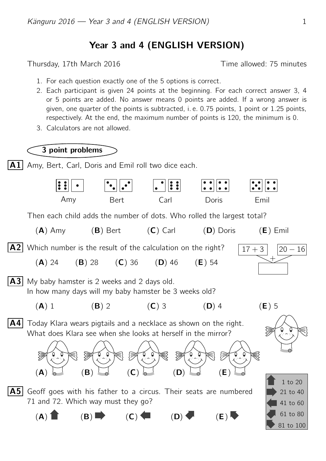## Year 3 and 4 (ENGLISH VERSION)

Thursday, 17th March 2016 Thursday, 17th March 2016

- 1. For each question exactly one of the 5 options is correct.
- 2. Each participant is given 24 points at the beginning. For each correct answer 3, 4 or 5 points are added. No answer means 0 points are added. If a wrong answer is given, one quarter of the points is subtracted, i. e. 0.75 points, 1 point or 1.25 points, respectively. At the end, the maximum number of points is 120, the minimum is 0.
- 3. Calculators are not allowed.

## 3 point problems

 $|A1|$  Amy, Bert, Carl, Doris and Emil roll two dice each.

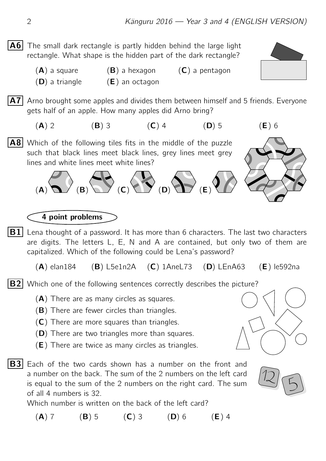**A6** The small dark rectangle is partly hidden behind the large light rectangle. What shape is the hidden part of the dark rectangle?

> $(A)$  a square  $(B)$  a hexagon  $(C)$  a pentagon  $(D)$  a triangle  $(E)$  an octagon

 $|A7|$  Arno brought some apples and divides them between himself and 5 friends. Everyone gets half of an apple. How many apples did Arno bring?

(A) 2 (B) 3 (C) 4 (D) 5 (E) 6

A8 Which of the following tiles fits in the middle of the puzzle such that black lines meet black lines, grey lines meet grey lines and white lines meet white lines?

 $\overline{(\mathsf{A})}$   $\overline{(\mathsf{B})}$   $\overline{(\mathsf{C})}$   $\overline{(\mathsf{C})}$   $\overline{(\mathsf{D})}$   $\overline{(\mathsf{D})}$   $\overline{(\mathsf{E})}$ 

 $|B1|$  Lena thought of a password. It has more than 6 characters. The last two characters are digits. The letters L, E, N and A are contained, but only two of them are capitalized. Which of the following could be Lena's password?

 $(A)$  elan184 (B) L5e1n2A (C) 1AneL73 (D) LEnA63 (E) le592na

 $|B2|$  Which one of the following sentences correctly describes the picture?

- (A) There are as many circles as squares.
- (B) There are fewer circles than triangles.
- (C) There are more squares than triangles.
- (D) There are two triangles more than squares.
- (E) There are twice as many circles as triangles.
- $|B3|$  Each of the two cards shown has a number on the front and a number on the back. The sum of the 2 numbers on the left card is equal to the sum of the 2 numbers on the right card. The sum of all 4 numbers is 32.

Which number is written on the back of the left card?

(A) 7 (B) 5 (C) 3 (D) 6 (E) 4

4 point problems





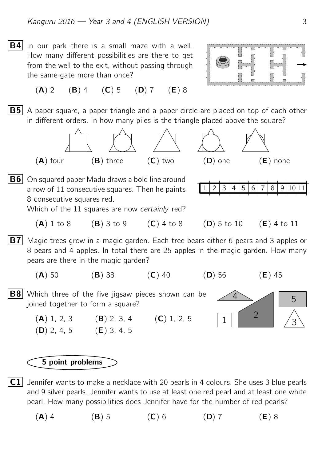$|B4|$  In our park there is a small maze with a well. How many different possibilities are there to get from the well to the exit, without passing through the same gate more than once?



 $(A)$  2  $(B)$  4  $(C)$  5  $(D)$  7  $(E)$  8

**B5** A paper square, a paper triangle and a paper circle are placed on top of each other in different orders. In how many piles is the triangle placed above the square?



**B6** On squared paper Madu draws a bold line around a row of 11 consecutive squares. Then he paints 8 consecutive squares red.

 $2 | 3 | 4 | 5 | 6 | 7 | 8 | 9 | 10 | 11$ 

Which of the 11 squares are now *certainly* red?

- $(A)$  1 to 8  $(B)$  3 to 9  $(C)$  4 to 8  $(D)$  5 to 10  $(E)$  4 to 11
- **B7** Magic trees grow in a magic garden. Each tree bears either 6 pears and 3 apples or 8 pears and 4 apples. In total there are 25 apples in the magic garden. How many pears are there in the magic garden?

(A) 50 (B) 38 (C) 40 (D) 56 (E) 45

 $\overline{4}$  5

 $\begin{array}{|c|c|c|c|c|}\n\hline\n1 & 2 & 3 \\
\hline\n\end{array}$ 2

**B8** Which three of the five jigsaw pieces shown can be joined together to form a square?

> (A) 1, 2, 3 (B) 2, 3, 4 (C) 1, 2, 5 (D) 2, 4, 5 (E) 3, 4, 5

## 5 point problems

C1 Jennifer wants to make a necklace with 20 pearls in 4 colours. She uses 3 blue pearls and 9 silver pearls. Jennifer wants to use at least one red pearl and at least one white pearl. How many possibilities does Jennifer have for the number of red pearls?

(A) 4 (B) 5 (C) 6 (D) 7 (E) 8